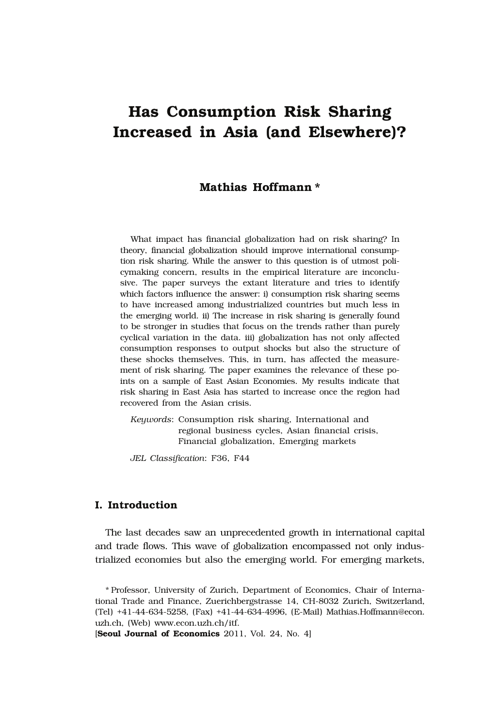# **Has Consumption Risk Sharing Increased in Asia (and Elsewhere)?**

# **Mathias Hoffmann \***

What impact has financial globalization had on risk sharing? In theory, financial globalization should improve international consumption risk sharing. While the answer to this question is of utmost policymaking concern, results in the empirical literature are inconclusive. The paper surveys the extant literature and tries to identify which factors influence the answer: i) consumption risk sharing seems to have increased among industrialized countries but much less in the emerging world. ii) The increase in risk sharing is generally found to be stronger in studies that focus on the trends rather than purely cyclical variation in the data. iii) globalization has not only affected consumption responses to output shocks but also the structure of these shocks themselves. This, in turn, has affected the measurement of risk sharing. The paper examines the relevance of these points on a sample of East Asian Economies. My results indicate that risk sharing in East Asia has started to increase once the region had recovered from the Asian crisis.

*Keywords*: Consumption risk sharing, International and regional business cycles, Asian financial crisis, Financial globalization, Emerging markets

*JEL Classification*: F36, F44

# **I. Introduction**

The last decades saw an unprecedented growth in international capital and trade flows. This wave of globalization encompassed not only industrialized economies but also the emerging world. For emerging markets,

\* Professor, University of Zurich, Department of Economics, Chair of International Trade and Finance, Zuerichbergstrasse 14, CH-8032 Zurich, Switzerland, (Tel) +41-44-634-5258, (Fax) +41-44-634-4996, (E-Mail) Mathias.Hoffmann@econ. uzh.ch, (Web) www.econ.uzh.ch/itf.

[**Seoul Journal of Economics** 2011, Vol. 24, No. 4]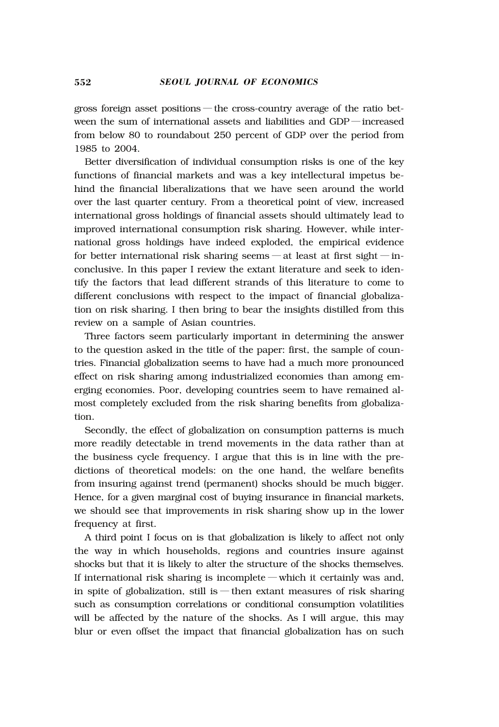gross foreign asset positions ― the cross-country average of the ratio between the sum of international assets and liabilities and GDP ― increased from below 80 to roundabout 250 percent of GDP over the period from 1985 to 2004.

Better diversification of individual consumption risks is one of the key functions of financial markets and was a key intellectural impetus behind the financial liberalizations that we have seen around the world over the last quarter century. From a theoretical point of view, increased international gross holdings of financial assets should ultimately lead to improved international consumption risk sharing. However, while international gross holdings have indeed exploded, the empirical evidence for better international risk sharing seems — at least at first sight — inconclusive. In this paper I review the extant literature and seek to identify the factors that lead different strands of this literature to come to different conclusions with respect to the impact of financial globalization on risk sharing. I then bring to bear the insights distilled from this review on a sample of Asian countries.

Three factors seem particularly important in determining the answer to the question asked in the title of the paper: first, the sample of countries. Financial globalization seems to have had a much more pronounced effect on risk sharing among industrialized economies than among emerging economies. Poor, developing countries seem to have remained almost completely excluded from the risk sharing benefits from globalization.

Secondly, the effect of globalization on consumption patterns is much more readily detectable in trend movements in the data rather than at the business cycle frequency. I argue that this is in line with the predictions of theoretical models: on the one hand, the welfare benefits from insuring against trend (permanent) shocks should be much bigger. Hence, for a given marginal cost of buying insurance in financial markets, we should see that improvements in risk sharing show up in the lower frequency at first.

A third point I focus on is that globalization is likely to affect not only the way in which households, regions and countries insure against shocks but that it is likely to alter the structure of the shocks themselves. If international risk sharing is incomplete ― which it certainly was and, in spite of globalization, still is — then extant measures of risk sharing such as consumption correlations or conditional consumption volatilities will be affected by the nature of the shocks. As I will argue, this may blur or even offset the impact that financial globalization has on such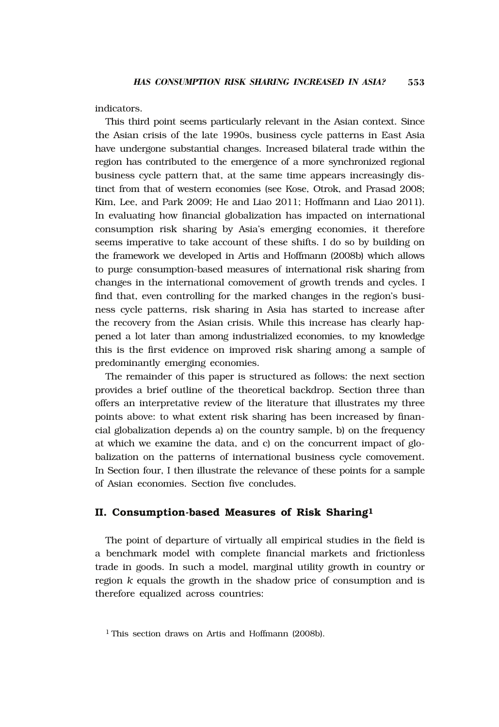indicators.

This third point seems particularly relevant in the Asian context. Since the Asian crisis of the late 1990s, business cycle patterns in East Asia have undergone substantial changes. Increased bilateral trade within the region has contributed to the emergence of a more synchronized regional business cycle pattern that, at the same time appears increasingly distinct from that of western economies (see Kose, Otrok, and Prasad 2008; Kim, Lee, and Park 2009; He and Liao 2011; Hoffmann and Liao 2011). In evaluating how financial globalization has impacted on international consumption risk sharing by Asia's emerging economies, it therefore seems imperative to take account of these shifts. I do so by building on the framework we developed in Artis and Hoffmann (2008b) which allows to purge consumption-based measures of international risk sharing from changes in the international comovement of growth trends and cycles. I find that, even controlling for the marked changes in the region's business cycle patterns, risk sharing in Asia has started to increase after the recovery from the Asian crisis. While this increase has clearly happened a lot later than among industrialized economies, to my knowledge this is the first evidence on improved risk sharing among a sample of predominantly emerging economies.

The remainder of this paper is structured as follows: the next section provides a brief outline of the theoretical backdrop. Section three than offers an interpretative review of the literature that illustrates my three points above: to what extent risk sharing has been increased by financial globalization depends a) on the country sample, b) on the frequency at which we examine the data, and c) on the concurrent impact of globalization on the patterns of international business cycle comovement. In Section four, I then illustrate the relevance of these points for a sample of Asian economies. Section five concludes.

# **II. Consumption-based Measures of Risk Sharing1**

The point of departure of virtually all empirical studies in the field is a benchmark model with complete financial markets and frictionless trade in goods. In such a model, marginal utility growth in country or region *k* equals the growth in the shadow price of consumption and is therefore equalized across countries:

<sup>&</sup>lt;sup>1</sup> This section draws on Artis and Hoffmann (2008b).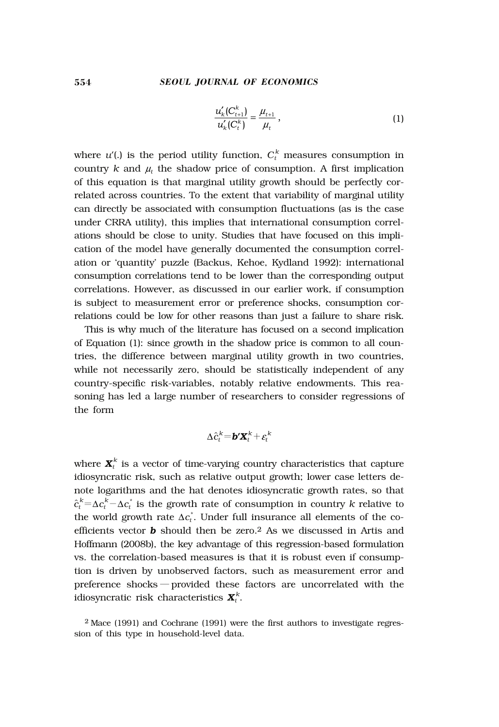$$
\frac{u'_{k}(C_{t+1}^{k})}{u'_{k}(C_{t}^{k})} = \frac{\mu_{t+1}}{\mu_{t}},
$$
\n(1)

where  $u'(.)$  is the period utility function,  $C_t^k$  measures consumption in country  $k$  and  $\mu_t$  the shadow price of consumption. A first implication of this equation is that marginal utility growth should be perfectly correlated across countries. To the extent that variability of marginal utility can directly be associated with consumption fluctuations (as is the case under CRRA utility), this implies that international consumption correlations should be close to unity. Studies that have focused on this implication of the model have generally documented the consumption correlation or 'quantity' puzzle (Backus, Kehoe, Kydland 1992): international consumption correlations tend to be lower than the corresponding output correlations. However, as discussed in our earlier work, if consumption is subject to measurement error or preference shocks, consumption correlations could be low for other reasons than just a failure to share risk.

This is why much of the literature has focused on a second implication of Equation (1): since growth in the shadow price is common to all countries, the difference between marginal utility growth in two countries, while not necessarily zero, should be statistically independent of any country-specific risk-variables, notably relative endowments. This reasoning has led a large number of researchers to consider regressions of the form

$$
\Delta \hat{c}_t^k = \pmb{b}' \pmb{X}_t^k + \pmb{\varepsilon}_t^k
$$

where  $\mathbf{X}_t^k$  is a vector of time-varying country characteristics that capture idiosyncratic risk, such as relative output growth; lower case letters denote logarithms and the hat denotes idiosyncratic growth rates, so that  $\hat{c}_t^k$ =Δ $c_t^k$  – Δ $c_t^*$  is the growth rate of consumption in country  $k$  relative to the world growth rate  $\Delta c_t^*$ . Under full insurance all elements of the coefficients vector *b* should then be zero.2 As we discussed in Artis and Hoffmann (2008b), the key advantage of this regression-based formulation vs. the correlation-based measures is that it is robust even if consumption is driven by unobserved factors, such as measurement error and preference shocks ― provided these factors are uncorrelated with the idiosyncratic risk characteristics  $\boldsymbol{X}^k_t.$ 

<sup>2</sup> Mace (1991) and Cochrane (1991) were the first authors to investigate regression of this type in household-level data.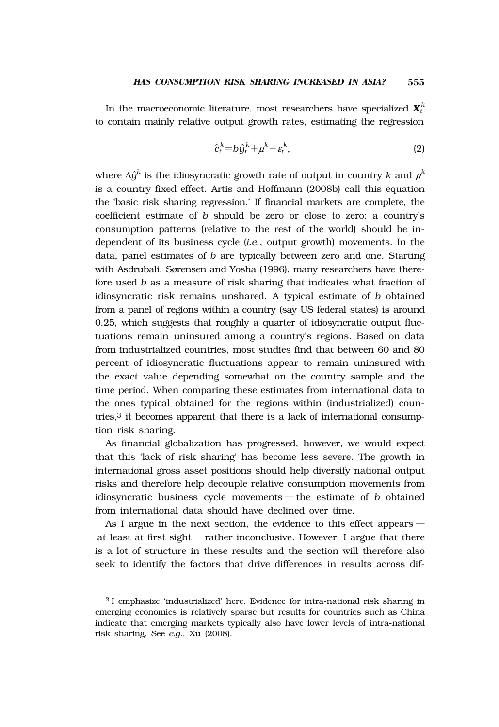In the macroeconomic literature, most researchers have specialized  $\boldsymbol{X}^k_t$ to contain mainly relative output growth rates, estimating the regression

$$
\hat{c}_t^k = b\hat{y}_t^k + \mu^k + \varepsilon_t^k, \tag{2}
$$

where  $\Delta \hat{y}^k$  is the idiosyncratic growth rate of output in country  $k$  and  $\mu^k$ is a country fixed effect. Artis and Hoffmann (2008b) call this equation the 'basic risk sharing regression.' If financial markets are complete, the coefficient estimate of *b* should be zero or close to zero: a country's consumption patterns (relative to the rest of the world) should be independent of its business cycle (*i.e.*, output growth) movements. In the data, panel estimates of *b* are typically between zero and one. Starting with Asdrubali, Sørensen and Yosha (1996), many researchers have therefore used *b* as a measure of risk sharing that indicates what fraction of idiosyncratic risk remains unshared. A typical estimate of *b* obtained from a panel of regions within a country (say US federal states) is around 0.25, which suggests that roughly a quarter of idiosyncratic output fluctuations remain uninsured among a country's regions. Based on data from industrialized countries, most studies find that between 60 and 80 percent of idiosyncratic fluctuations appear to remain uninsured with the exact value depending somewhat on the country sample and the time period. When comparing these estimates from international data to the ones typical obtained for the regions within (industrialized) countries,3 it becomes apparent that there is a lack of international consumption risk sharing.

As financial globalization has progressed, however, we would expect that this 'lack of risk sharing' has become less severe. The growth in international gross asset positions should help diversify national output risks and therefore help decouple relative consumption movements from idiosyncratic business cycle movements ― the estimate of *b* obtained from international data should have declined over time.

As I argue in the next section, the evidence to this effect appears ― at least at first sight ― rather inconclusive. However, I argue that there is a lot of structure in these results and the section will therefore also seek to identify the factors that drive differences in results across dif-

<sup>3</sup> I emphasize 'industrialized' here. Evidence for intra-national risk sharing in emerging economies is relatively sparse but results for countries such as China indicate that emerging markets typically also have lower levels of intra-national risk sharing. See *e.g.,* Xu (2008).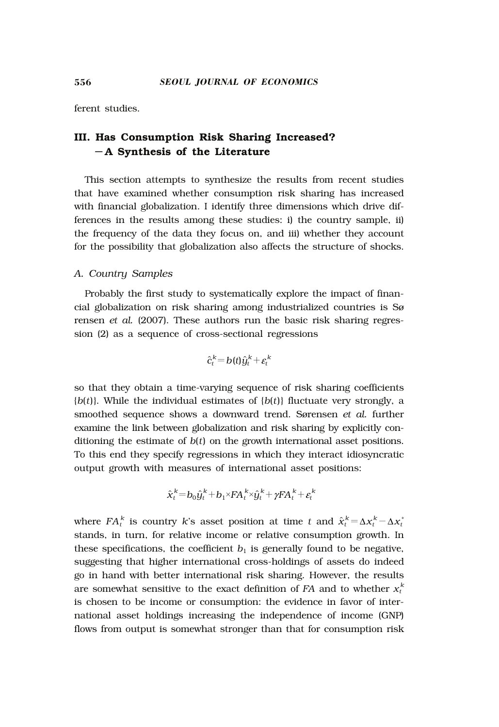ferent studies.

# **III. Has Consumption Risk Sharing Increased?** ― **A Synthesis of the Literature**

This section attempts to synthesize the results from recent studies that have examined whether consumption risk sharing has increased with financial globalization. I identify three dimensions which drive differences in the results among these studies: i) the country sample, ii) the frequency of the data they focus on, and iii) whether they account for the possibility that globalization also affects the structure of shocks.

#### *A. Country Samples*

Probably the first study to systematically explore the impact of financial globalization on risk sharing among industrialized countries is Sø rensen *et al.* (2007). These authors run the basic risk sharing regression (2) as a sequence of cross-sectional regressions

$$
\hat{c}_t^k = b(t)\hat{y}_t^k + \varepsilon_t^k
$$

so that they obtain a time-varying sequence of risk sharing coefficients  ${b(t)}$ . While the individual estimates of  ${b(t)}$  fluctuate very strongly, a smoothed sequence shows a downward trend. Sørensen *et al.* further examine the link between globalization and risk sharing by explicitly conditioning the estimate of *b*(*t*) on the growth international asset positions. To this end they specify regressions in which they interact idiosyncratic output growth with measures of international asset positions:

$$
\hat{\boldsymbol{x}}_t^k = b_0 \hat{\boldsymbol{y}}_t^k + b_1 \times F \boldsymbol{A}_t^k \times \hat{\boldsymbol{y}}_t^k + \gamma F \boldsymbol{A}_t^k + \varepsilon_t^k
$$

where  $FA_t^k$  is country *k*'s asset position at time *t* and  $\hat{x}_t^k = \Delta x_t^k - \Delta x_t^*$ stands, in turn, for relative income or relative consumption growth. In these specifications, the coefficient  $b_1$  is generally found to be negative, suggesting that higher international cross-holdings of assets do indeed go in hand with better international risk sharing. However, the results are somewhat sensitive to the exact definition of  $FA$  and to whether  $x_t^k$ is chosen to be income or consumption: the evidence in favor of international asset holdings increasing the independence of income (GNP) flows from output is somewhat stronger than that for consumption risk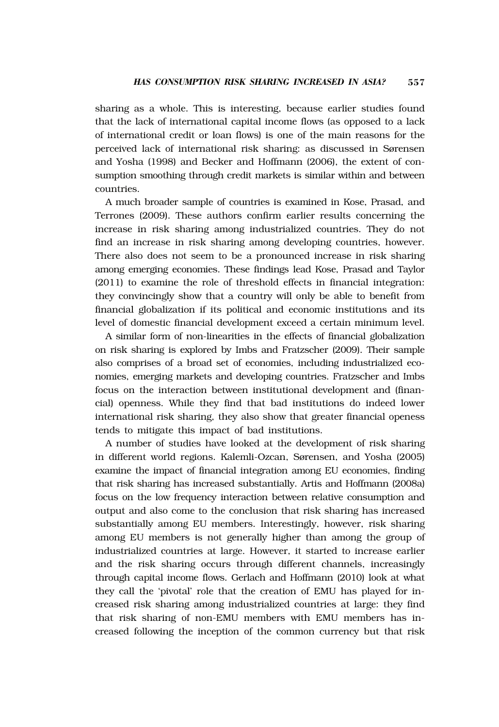sharing as a whole. This is interesting, because earlier studies found that the lack of international capital income flows (as opposed to a lack of international credit or loan flows) is one of the main reasons for the perceived lack of international risk sharing: as discussed in Sørensen and Yosha (1998) and Becker and Hoffmann (2006), the extent of consumption smoothing through credit markets is similar within and between countries.

A much broader sample of countries is examined in Kose, Prasad, and Terrones (2009). These authors confirm earlier results concerning the increase in risk sharing among industrialized countries. They do not find an increase in risk sharing among developing countries, however. There also does not seem to be a pronounced increase in risk sharing among emerging economies. These findings lead Kose, Prasad and Taylor (2011) to examine the role of threshold effects in financial integration: they convincingly show that a country will only be able to benefit from financial globalization if its political and economic institutions and its level of domestic financial development exceed a certain minimum level.

A similar form of non-linearities in the effects of financial globalization on risk sharing is explored by Imbs and Fratzscher (2009). Their sample also comprises of a broad set of economies, including industrialized economies, emerging markets and developing countries. Fratzscher and Imbs focus on the interaction between institutional development and (financial) openness. While they find that bad institutions do indeed lower international risk sharing, they also show that greater financial openess tends to mitigate this impact of bad institutions.

A number of studies have looked at the development of risk sharing in different world regions. Kalemli-Ozcan, Sørensen, and Yosha (2005) examine the impact of financial integration among EU economies, finding that risk sharing has increased substantially. Artis and Hoffmann (2008a) focus on the low frequency interaction between relative consumption and output and also come to the conclusion that risk sharing has increased substantially among EU members. Interestingly, however, risk sharing among EU members is not generally higher than among the group of industrialized countries at large. However, it started to increase earlier and the risk sharing occurs through different channels, increasingly through capital income flows. Gerlach and Hoffmann (2010) look at what they call the 'pivotal' role that the creation of EMU has played for increased risk sharing among industrialized countries at large: they find that risk sharing of non-EMU members with EMU members has increased following the inception of the common currency but that risk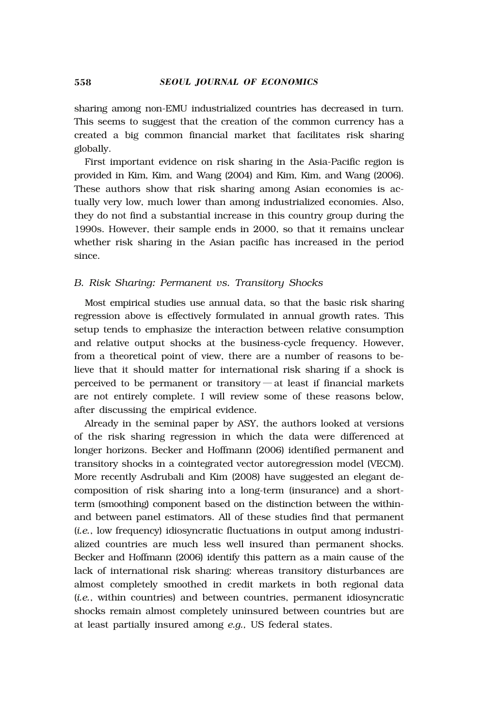sharing among non-EMU industrialized countries has decreased in turn. This seems to suggest that the creation of the common currency has a created a big common financial market that facilitates risk sharing globally.

First important evidence on risk sharing in the Asia-Pacific region is provided in Kim, Kim, and Wang (2004) and Kim, Kim, and Wang (2006). These authors show that risk sharing among Asian economies is actually very low, much lower than among industrialized economies. Also, they do not find a substantial increase in this country group during the 1990s. However, their sample ends in 2000, so that it remains unclear whether risk sharing in the Asian pacific has increased in the period since.

#### *B. Risk Sharing: Permanent vs. Transitory Shocks*

Most empirical studies use annual data, so that the basic risk sharing regression above is effectively formulated in annual growth rates. This setup tends to emphasize the interaction between relative consumption and relative output shocks at the business-cycle frequency. However, from a theoretical point of view, there are a number of reasons to believe that it should matter for international risk sharing if a shock is perceived to be permanent or transitory — at least if financial markets are not entirely complete. I will review some of these reasons below, after discussing the empirical evidence.

Already in the seminal paper by ASY, the authors looked at versions of the risk sharing regression in which the data were differenced at longer horizons. Becker and Hoffmann (2006) identified permanent and transitory shocks in a cointegrated vector autoregression model (VECM). More recently Asdrubali and Kim (2008) have suggested an elegant decomposition of risk sharing into a long-term (insurance) and a shortterm (smoothing) component based on the distinction between the withinand between panel estimators. All of these studies find that permanent (*i.e.*, low frequency) idiosyncratic fluctuations in output among industrialized countries are much less well insured than permanent shocks. Becker and Hoffmann (2006) identify this pattern as a main cause of the lack of international risk sharing: whereas transitory disturbances are almost completely smoothed in credit markets in both regional data (*i.e.*, within countries) and between countries, permanent idiosyncratic shocks remain almost completely uninsured between countries but are at least partially insured among *e.g.,* US federal states.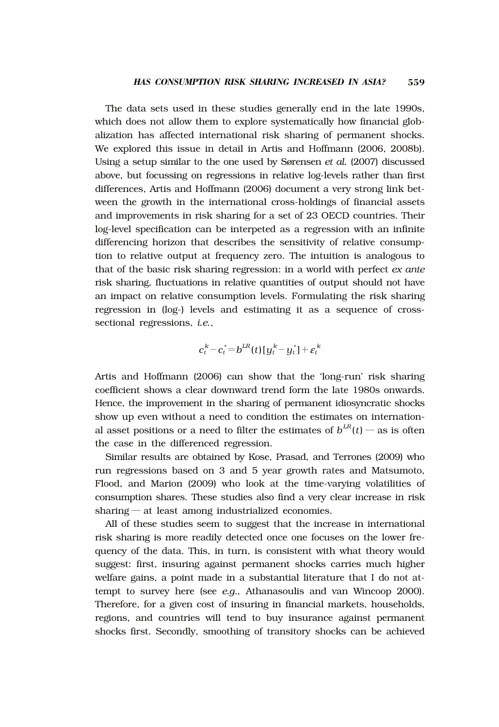The data sets used in these studies generally end in the late 1990s, which does not allow them to explore systematically how financial globalization has affected international risk sharing of permanent shocks. We explored this issue in detail in Artis and Hoffmann (2006, 2008b). Using a setup similar to the one used by Sørensen *et al.* (2007) discussed above, but focussing on regressions in relative log-levels rather than first differences, Artis and Hoffmann (2006) document a very strong link between the growth in the international cross-holdings of financial assets and improvements in risk sharing for a set of 23 OECD countries. Their log-level specification can be interpeted as a regression with an infinite differencing horizon that describes the sensitivity of relative consumption to relative output at frequency zero. The intuition is analogous to that of the basic risk sharing regression: in a world with perfect *ex ante* risk sharing, fluctuations in relative quantities of output should not have an impact on relative consumption levels. Formulating the risk sharing regression in (log-) levels and estimating it as a sequence of crosssectional regressions, *i.e.*,

$$
c_t^k - c_t^* = b^{LR}(t)[y_t^k - y_t^*] + \varepsilon_t^k
$$

Artis and Hoffmann (2006) can show that the 'long-run' risk sharing coefficient shows a clear downward trend form the late 1980s onwards. Hence, the improvement in the sharing of permanent idiosyncratic shocks show up even without a need to condition the estimates on international asset positions or a need to filter the estimates of  $b^{LR}(t)$  — as is often the case in the differenced regression.

Similar results are obtained by Kose, Prasad, and Terrones (2009) who run regressions based on 3 and 5 year growth rates and Matsumoto, Flood, and Marion (2009) who look at the time-varying volatilities of consumption shares. These studies also find a very clear increase in risk sharing — at least among industrialized economies.

All of these studies seem to suggest that the increase in international risk sharing is more readily detected once one focuses on the lower frequency of the data. This, in turn, is consistent with what theory would suggest: first, insuring against permanent shocks carries much higher welfare gains, a point made in a substantial literature that I do not attempt to survey here (see *e.g.,* Athanasoulis and van Wincoop 2000). Therefore, for a given cost of insuring in financial markets, households, regions, and countries will tend to buy insurance against permanent shocks first. Secondly, smoothing of transitory shocks can be achieved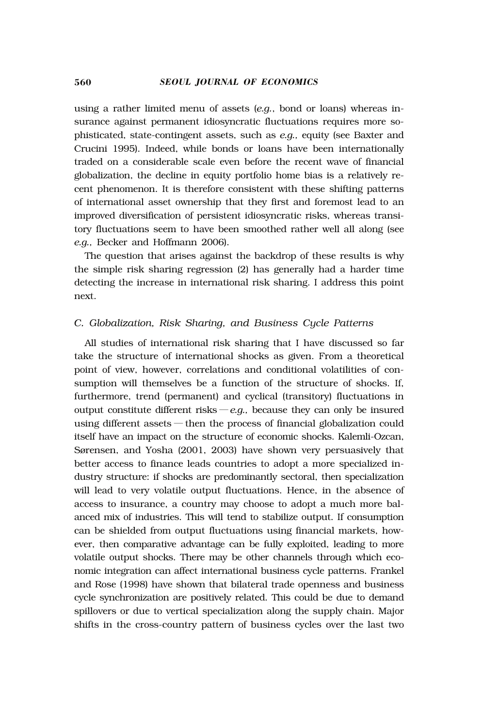using a rather limited menu of assets (*e.g.*, bond or loans) whereas insurance against permanent idiosyncratic fluctuations requires more sophisticated, state-contingent assets, such as *e.g.,* equity (see Baxter and Crucini 1995). Indeed, while bonds or loans have been internationally traded on a considerable scale even before the recent wave of financial globalization, the decline in equity portfolio home bias is a relatively recent phenomenon. It is therefore consistent with these shifting patterns of international asset ownership that they first and foremost lead to an improved diversification of persistent idiosyncratic risks, whereas transitory fluctuations seem to have been smoothed rather well all along (see *e.g.,* Becker and Hoffmann 2006).

The question that arises against the backdrop of these results is why the simple risk sharing regression (2) has generally had a harder time detecting the increase in international risk sharing. I address this point next.

# *C. Globalization, Risk Sharing, and Business Cycle Patterns*

All studies of international risk sharing that I have discussed so far take the structure of international shocks as given. From a theoretical point of view, however, correlations and conditional volatilities of consumption will themselves be a function of the structure of shocks. If, furthermore, trend (permanent) and cyclical (transitory) fluctuations in output constitute different risks  $-e.g.,$  because they can only be insured using different assets ― then the process of financial globalization could itself have an impact on the structure of economic shocks. Kalemli-Ozcan, Sørensen, and Yosha (2001, 2003) have shown very persuasively that better access to finance leads countries to adopt a more specialized industry structure: if shocks are predominantly sectoral, then specialization will lead to very volatile output fluctuations. Hence, in the absence of access to insurance, a country may choose to adopt a much more balanced mix of industries. This will tend to stabilize output. If consumption can be shielded from output fluctuations using financial markets, however, then comparative advantage can be fully exploited, leading to more volatile output shocks. There may be other channels through which economic integration can affect international business cycle patterns. Frankel and Rose (1998) have shown that bilateral trade openness and business cycle synchronization are positively related. This could be due to demand spillovers or due to vertical specialization along the supply chain. Major shifts in the cross-country pattern of business cycles over the last two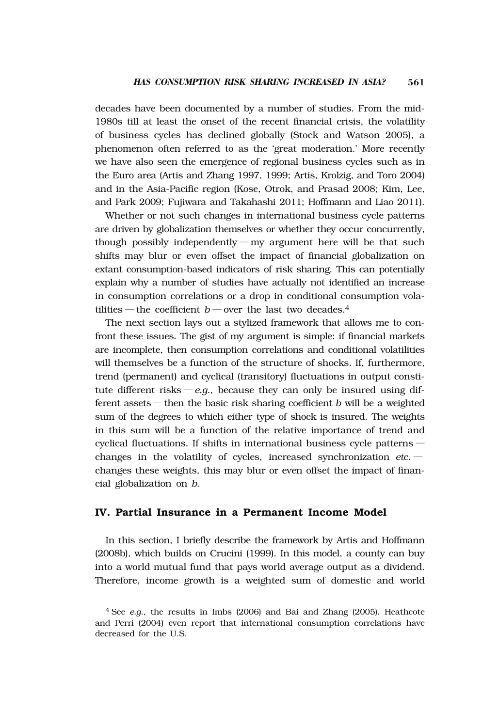decades have been documented by a number of studies. From the mid-1980s till at least the onset of the recent financial crisis, the volatility of business cycles has declined globally (Stock and Watson 2005), a phenomenon often referred to as the 'great moderation.' More recently we have also seen the emergence of regional business cycles such as in the Euro area (Artis and Zhang 1997, 1999; Artis, Krolzig, and Toro 2004) and in the Asia-Pacific region (Kose, Otrok, and Prasad 2008; Kim, Lee, and Park 2009; Fujiwara and Takahashi 2011; Hoffmann and Liao 2011).

Whether or not such changes in international business cycle patterns are driven by globalization themselves or whether they occur concurrently, though possibly independently — my argument here will be that such shifts may blur or even offset the impact of financial globalization on extant consumption-based indicators of risk sharing. This can potentially explain why a number of studies have actually not identified an increase in consumption correlations or a drop in conditional consumption volatilities — the coefficient  $b$  — over the last two decades.<sup>4</sup>

The next section lays out a stylized framework that allows me to confront these issues. The gist of my argument is simple: if financial markets are incomplete, then consumption correlations and conditional volatilities will themselves be a function of the structure of shocks. If, furthermore, trend (permanent) and cyclical (transitory) fluctuations in output constitute different risks  $-e.g.,$  because they can only be insured using different assets ― then the basic risk sharing coefficient *b* will be a weighted sum of the degrees to which either type of shock is insured. The weights in this sum will be a function of the relative importance of trend and cyclical fluctuations. If shifts in international business cycle patterns ― changes in the volatility of cycles, increased synchronization *etc.* ― changes these weights, this may blur or even offset the impact of financial globalization on *b*.

# **IV. Partial Insurance in a Permanent Income Model**

In this section, I briefly describe the framework by Artis and Hoffmann (2008b), which builds on Crucini (1999). In this model, a county can buy into a world mutual fund that pays world average output as a dividend. Therefore, income growth is a weighted sum of domestic and world

<sup>4</sup> See *e.g.,* the results in Imbs (2006) and Bai and Zhang (2005). Heathcote and Perri (2004) even report that international consumption correlations have decreased for the U.S.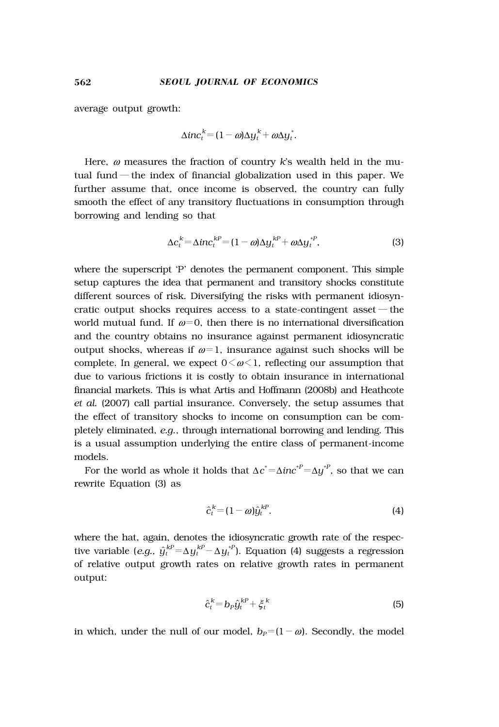average output growth:

$$
\Delta inc_t^k = (1 - \omega) \Delta y_t^k + \omega \Delta y_t^*.
$$

Here, ω measures the fraction of country *k*'s wealth held in the mutual fund — the index of financial globalization used in this paper. We further assume that, once income is observed, the country can fully smooth the effect of any transitory fluctuations in consumption through borrowing and lending so that

$$
\Delta c_t^k = \Delta i n c_t^{kP} = (1 - \omega) \Delta y_t^{kP} + \omega \Delta y_t^{*P}, \tag{3}
$$

where the superscript 'P' denotes the permanent component. This simple setup captures the idea that permanent and transitory shocks constitute different sources of risk. Diversifying the risks with permanent idiosyncratic output shocks requires access to a state-contingent asset — the world mutual fund. If  $\omega = 0$ , then there is no international diversification and the country obtains no insurance against permanent idiosyncratic output shocks, whereas if  $\omega = 1$ , insurance against such shocks will be complete. In general, we expect  $0 \le \omega \le 1$ , reflecting our assumption that due to various frictions it is costly to obtain insurance in international financial markets. This is what Artis and Hoffmann (2008b) and Heathcote *et al.* (2007) call partial insurance. Conversely, the setup assumes that the effect of transitory shocks to income on consumption can be completely eliminated, *e.g.*, through international borrowing and lending. This is a usual assumption underlying the entire class of permanent-income models.

For the world as whole it holds that  $\Delta c^* = \Delta inc^{*P} = \Delta y^{*P}$ , so that we can rewrite Equation (3) as

$$
\hat{c}_t^k = (1 - \omega)\hat{y}_t^{kP}.\tag{4}
$$

where the hat, again, denotes the idiosyncratic growth rate of the respective variable (*e.g.,*  $\hat{y}_t^{kP} = \Delta y_t^{kP} - \Delta y_t^{*P}$ ). Equation (4) suggests a regression of relative output growth rates on relative growth rates in permanent output:

$$
\hat{c}_t^k = b_p \hat{y}_t^{k} + \xi_t^k \tag{5}
$$

in which, under the null of our model,  $b_P = (1 - \omega)$ . Secondly, the model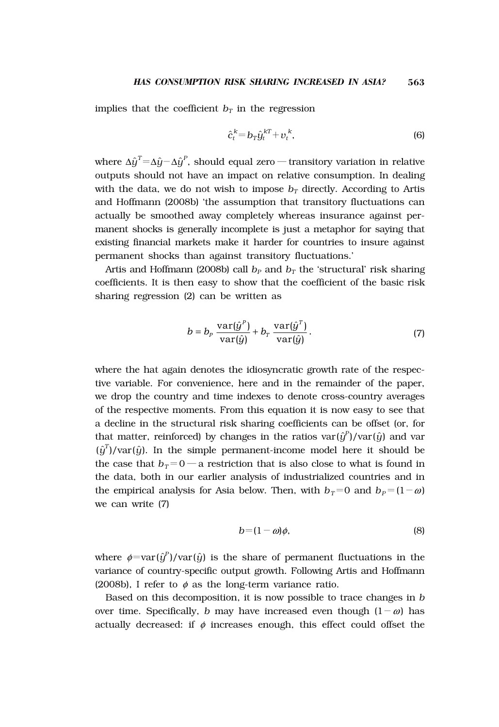implies that the coefficient  $b<sub>T</sub>$  in the regression

$$
\hat{c}_t^k = b_T \hat{y}_t^{k} + v_t^k, \tag{6}
$$

where Δ $\hat{y}^{\text{T}}$ =Δ $\hat{y}$ −Δ $\hat{y}^{\text{P}}$ , should equal zero — transitory variation in relative outputs should not have an impact on relative consumption. In dealing with the data, we do not wish to impose  $b_T$  directly. According to Artis and Hoffmann (2008b) 'the assumption that transitory fluctuations can actually be smoothed away completely whereas insurance against permanent shocks is generally incomplete is just a metaphor for saying that existing financial markets make it harder for countries to insure against permanent shocks than against transitory fluctuations.'

Artis and Hoffmann (2008b) call  $b<sub>P</sub>$  and  $b<sub>T</sub>$  the 'structural' risk sharing coefficients. It is then easy to show that the coefficient of the basic risk sharing regression (2) can be written as

$$
b = b_p \frac{\text{var}(\hat{y}^P)}{\text{var}(\hat{y})} + b_r \frac{\text{var}(\hat{y}^T)}{\text{var}(\hat{y})}.
$$
 (7)

where the hat again denotes the idiosyncratic growth rate of the respective variable. For convenience, here and in the remainder of the paper, we drop the country and time indexes to denote cross-country averages of the respective moments. From this equation it is now easy to see that a decline in the structural risk sharing coefficients can be offset (or, for that matter, reinforced) by changes in the ratios  $\text{var}(\hat{y}^p)/\text{var}(\hat{y})$  and  $\text{var}$  $(\hat{y}^T)/\text{var}(\hat{y})$ . In the simple permanent-income model here it should be the case that  $b_T=0$  — a restriction that is also close to what is found in the data, both in our earlier analysis of industrialized countries and in the empirical analysis for Asia below. Then, with  $b_T=0$  and  $b_P=(1-\omega)$ we can write (7)

$$
b = (1 - \omega)\phi,\tag{8}
$$

where  $\phi = \text{var}(\hat{y}^P)/\text{var}(\hat{y})$  is the share of permanent fluctuations in the variance of country-specific output growth. Following Artis and Hoffmann (2008b), I refer to  $\phi$  as the long-term variance ratio.

Based on this decomposition, it is now possible to trace changes in *b* over time. Specifically, *b* may have increased even though  $(1 - \omega)$  has actually decreased: if  $\phi$  increases enough, this effect could offset the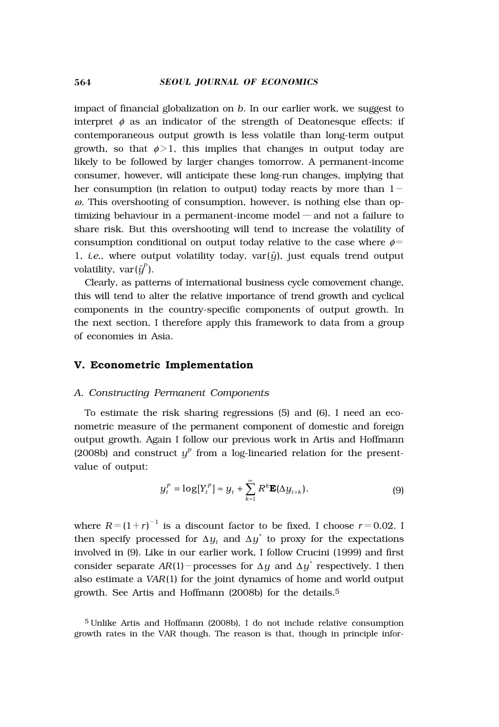impact of financial globalization on *b*. In our earlier work, we suggest to interpret  $\phi$  as an indicator of the strength of Deatonesque effects: if contemporaneous output growth is less volatile than long-term output growth, so that  $\phi > 1$ , this implies that changes in output today are likely to be followed by larger changes tomorrow. A permanent-income consumer, however, will anticipate these long-run changes, implying that her consumption (in relation to output) today reacts by more than  $1 \omega$ . This overshooting of consumption, however, is nothing else than optimizing behaviour in a permanent-income model ― and not a failure to share risk. But this overshooting will tend to increase the volatility of consumption conditional on output today relative to the case where  $\phi$ = 1, *i.e.*, where output volatility today,  $var(\hat{y})$ , just equals trend output volatility,  $var(\hat{y}^P)$ .

Clearly, as patterns of international business cycle comovement change, this will tend to alter the relative importance of trend growth and cyclical components in the country-specific components of output growth. In the next section, I therefore apply this framework to data from a group of economies in Asia.

#### **V. Econometric Implementation**

#### *A. Constructing Permanent Components*

To estimate the risk sharing regressions (5) and (6), I need an econometric measure of the permanent component of domestic and foreign output growth. Again I follow our previous work in Artis and Hoffmann (2008b) and construct  $y^p$  from a log-linearied relation for the presentvalue of output:

$$
y_t^P = \log[Y_t^P] \approx y_t + \sum_{k=1}^{\infty} R^k \mathbf{E}(\Delta y_{t+k}).
$$
 (9)

where  $R = (1+r)^{-1}$  is a discount factor to be fixed. I choose  $r = 0.02$ . I then specify processed for  $\Delta y_t$  and  $\Delta y^*$  to proxy for the expectations involved in (9). Like in our earlier work, I follow Crucini (1999) and first consider separate  $AR(1)$  - processes for  $\Delta y$  and  $\Delta y^*$  respectively. I then also estimate a *VAR*(1) for the joint dynamics of home and world output growth. See Artis and Hoffmann (2008b) for the details.5

<sup>5</sup> Unlike Artis and Hoffmann (2008b), I do not include relative consumption growth rates in the VAR though. The reason is that, though in principle infor-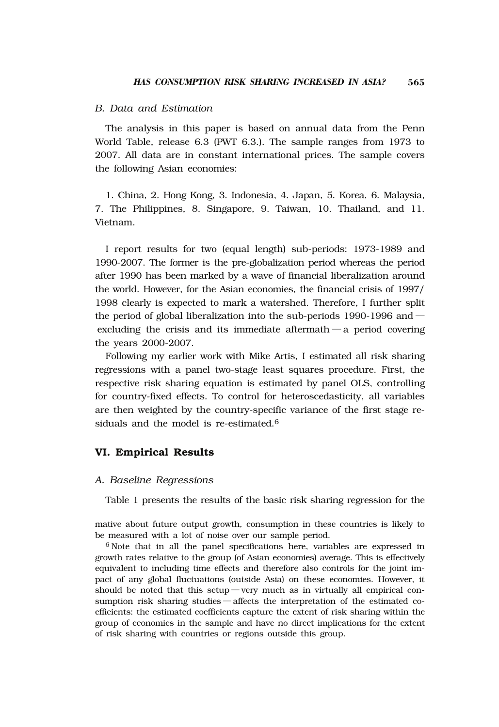# *B. Data and Estimation*

The analysis in this paper is based on annual data from the Penn World Table, release 6.3 (PWT 6.3.). The sample ranges from 1973 to 2007. All data are in constant international prices. The sample covers the following Asian economies:

1. China, 2. Hong Kong, 3. Indonesia, 4. Japan, 5. Korea, 6. Malaysia, 7. The Philippines, 8. Singapore, 9. Taiwan, 10. Thailand, and 11. Vietnam.

I report results for two (equal length) sub-periods: 1973-1989 and 1990-2007. The former is the pre-globalization period whereas the period after 1990 has been marked by a wave of financial liberalization around the world. However, for the Asian economies, the financial crisis of 1997/ 1998 clearly is expected to mark a watershed. Therefore, I further split the period of global liberalization into the sub-periods 1990-1996 and ― excluding the crisis and its immediate aftermath — a period covering the years 2000-2007.

Following my earlier work with Mike Artis, I estimated all risk sharing regressions with a panel two-stage least squares procedure. First, the respective risk sharing equation is estimated by panel OLS, controlling for country-fixed effects. To control for heteroscedasticity, all variables are then weighted by the country-specific variance of the first stage residuals and the model is re-estimated.6

# **VI. Empirical Results**

#### *A. Baseline Regressions*

Table 1 presents the results of the basic risk sharing regression for the

mative about future output growth, consumption in these countries is likely to be measured with a lot of noise over our sample period.

<sup>6</sup> Note that in all the panel specifications here, variables are expressed in growth rates relative to the group (of Asian economies) average. This is effectively equivalent to including time effects and therefore also controls for the joint impact of any global fluctuations (outside Asia) on these economies. However, it should be noted that this setup — very much as in virtually all empirical consumption risk sharing studies — affects the interpretation of the estimated coefficients: the estimated coefficients capture the extent of risk sharing within the group of economies in the sample and have no direct implications for the extent of risk sharing with countries or regions outside this group.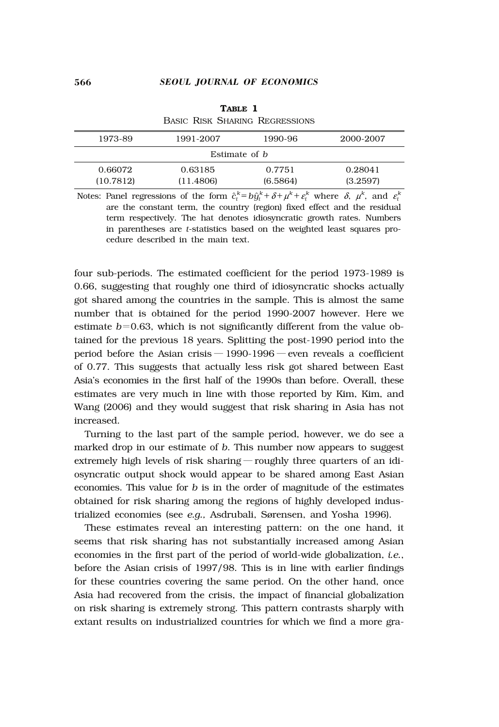| 1973-89              | 1991-2007 | 1990-96  | 2000-2007 |  |  |  |
|----------------------|-----------|----------|-----------|--|--|--|
| Estimate of <i>b</i> |           |          |           |  |  |  |
| 0.66072              | 0.63185   | 0.7751   | 0.28041   |  |  |  |
| (10.7812)            | (11.4806) | (6.5864) | (3.2597)  |  |  |  |
|                      |           |          |           |  |  |  |

**TABLE 1** BASIC RISK SHARING REGRESSIONS

Notes: Panel regressions of the form  $\hat{c}_t^k = b\hat{y}_t^k + \delta + \mu^k + \varepsilon_t^k$  where  $\delta$ ,  $\mu^k$ , and  $\varepsilon_t^k$ are the constant term, the country (region) fixed effect and the residual term respectively. The hat denotes idiosyncratic growth rates. Numbers in parentheses are *t*-statistics based on the weighted least squares procedure described in the main text.

four sub-periods. The estimated coefficient for the period 1973-1989 is 0.66, suggesting that roughly one third of idiosyncratic shocks actually got shared among the countries in the sample. This is almost the same number that is obtained for the period 1990-2007 however. Here we estimate  $b=0.63$ , which is not significantly different from the value obtained for the previous 18 years. Splitting the post-1990 period into the period before the Asian crisis  $-1990-1996$  – even reveals a coefficient of 0.77. This suggests that actually less risk got shared between East Asia's economies in the first half of the 1990s than before. Overall, these estimates are very much in line with those reported by Kim, Kim, and Wang (2006) and they would suggest that risk sharing in Asia has not increased.

Turning to the last part of the sample period, however, we do see a marked drop in our estimate of *b*. This number now appears to suggest extremely high levels of risk sharing ― roughly three quarters of an idiosyncratic output shock would appear to be shared among East Asian economies. This value for *b* is in the order of magnitude of the estimates obtained for risk sharing among the regions of highly developed industrialized economies (see *e.g., Asdrubali, Sørensen, and Yosha 1996*).

These estimates reveal an interesting pattern: on the one hand, it seems that risk sharing has not substantially increased among Asian economies in the first part of the period of world-wide globalization, *i.e.*, before the Asian crisis of 1997/98. This is in line with earlier findings for these countries covering the same period. On the other hand, once Asia had recovered from the crisis, the impact of financial globalization on risk sharing is extremely strong. This pattern contrasts sharply with extant results on industrialized countries for which we find a more gra-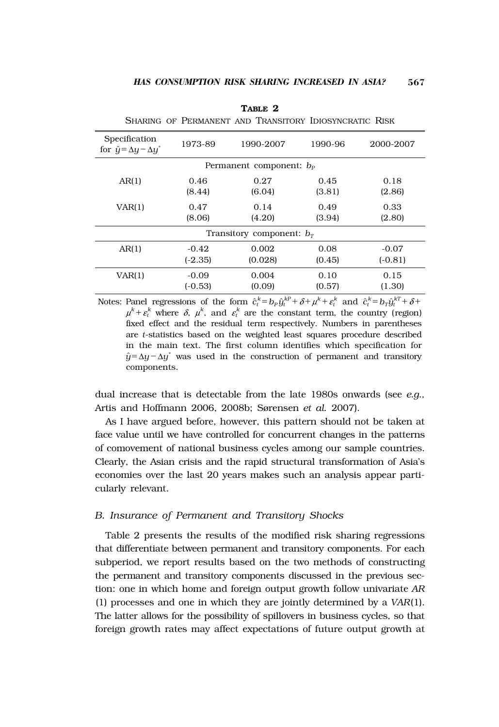| Specification<br>for $\hat{y} = \Delta y - \Delta y^*$ | 1973-89   | 1990-2007 | 1990-96 | 2000-2007 |  |  |
|--------------------------------------------------------|-----------|-----------|---------|-----------|--|--|
| Permanent component: $b_{p}$                           |           |           |         |           |  |  |
| AR(1)                                                  | 0.46      | 0.27      | 0.45    | 0.18      |  |  |
|                                                        | (8.44)    | (6.04)    | (3.81)  | (2.86)    |  |  |
| VAR(1)                                                 | 0.47      | 0.14      | 0.49    | 0.33      |  |  |
|                                                        | (8.06)    | (4.20)    | (3.94)  | (2.80)    |  |  |
| Transitory component: $br$                             |           |           |         |           |  |  |
| AR(1)                                                  | $-0.42$   | 0.002     | 0.08    | $-0.07$   |  |  |
|                                                        | $(-2.35)$ | (0.028)   | (0.45)  | $(-0.81)$ |  |  |
| VAR(1)                                                 | $-0.09$   | 0.004     | 0.10    | 0.15      |  |  |
|                                                        | $(-0.53)$ | (0.09)    | (0.57)  | (1.30)    |  |  |

**TABLE 2** SHARING OF PERMANENT AND TRANSITORY IDIOSYNCRATIC RISK

Notes: Panel regressions of the form  $\hat{c}_t^k = b_p \hat{y}_t^{kP} + \delta + \mu^k + \varepsilon_t^k$  and  $\hat{c}_t^k = b_T \hat{y}_t^{kT} + \delta + \mu^k$  $\mu^k + \varepsilon^k_t$  where  $\delta$ ,  $\mu^k$ , and  $\varepsilon^k_t$  are the constant term, the country (region) fixed effect and the residual term respectively. Numbers in parentheses are *t*-statistics based on the weighted least squares procedure described in the main text. The first column identifies which specification for  $\hat{y} = \Delta y - \Delta y^*$  was used in the construction of permanent and transitory components.

dual increase that is detectable from the late 1980s onwards (see *e.g.,* Artis and Hoffmann 2006, 2008b; Sørensen et al. 2007).

As I have argued before, however, this pattern should not be taken at face value until we have controlled for concurrent changes in the patterns of comovement of national business cycles among our sample countries. Clearly, the Asian crisis and the rapid structural transformation of Asia's economies over the last 20 years makes such an analysis appear particularly relevant.

#### *B. Insurance of Permanent and Transitory Shocks*

Table 2 presents the results of the modified risk sharing regressions that differentiate between permanent and transitory components. For each subperiod, we report results based on the two methods of constructing the permanent and transitory components discussed in the previous section: one in which home and foreign output growth follow univariate *AR* (1) processes and one in which they are jointly determined by a *VAR*(1). The latter allows for the possibility of spillovers in business cycles, so that foreign growth rates may affect expectations of future output growth at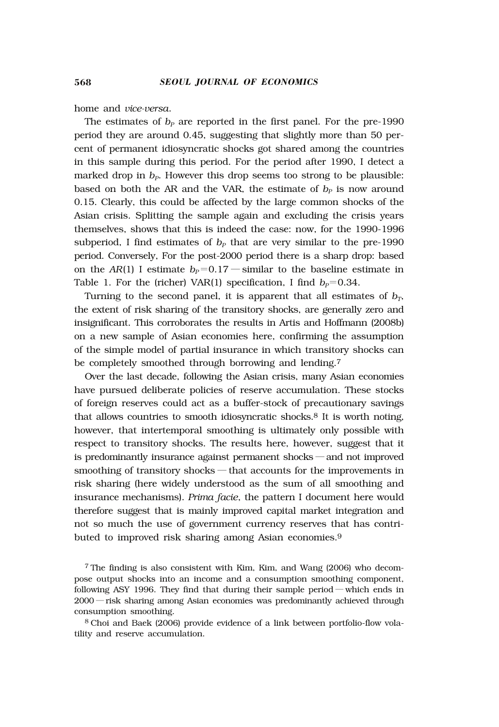home and *vice-versa*.

The estimates of  $b<sub>p</sub>$  are reported in the first panel. For the pre-1990 period they are around 0.45, suggesting that slightly more than 50 percent of permanent idiosyncratic shocks got shared among the countries in this sample during this period. For the period after 1990, I detect a marked drop in  $b<sub>p</sub>$ . However this drop seems too strong to be plausible: based on both the AR and the VAR, the estimate of  $b<sub>p</sub>$  is now around 0.15. Clearly, this could be affected by the large common shocks of the Asian crisis. Splitting the sample again and excluding the crisis years themselves, shows that this is indeed the case: now, for the 1990-1996 subperiod, I find estimates of  $b<sub>p</sub>$  that are very similar to the pre-1990 period. Conversely, For the post-2000 period there is a sharp drop: based on the *AR*(1) I estimate  $b_P=0.17$  — similar to the baseline estimate in Table 1. For the (richer) VAR(1) specification, I find  $b_P=0.34$ .

Turning to the second panel, it is apparent that all estimates of  $b<sub>T</sub>$ , the extent of risk sharing of the transitory shocks, are generally zero and insignificant. This corroborates the results in Artis and Hoffmann (2008b) on a new sample of Asian economies here, confirming the assumption of the simple model of partial insurance in which transitory shocks can be completely smoothed through borrowing and lending.7

Over the last decade, following the Asian crisis, many Asian economies have pursued deliberate policies of reserve accumulation. These stocks of foreign reserves could act as a buffer-stock of precautionary savings that allows countries to smooth idiosyncratic shocks.8 It is worth noting, however, that intertemporal smoothing is ultimately only possible with respect to transitory shocks. The results here, however, suggest that it is predominantly insurance against permanent shocks ―and not improved smoothing of transitory shocks — that accounts for the improvements in risk sharing (here widely understood as the sum of all smoothing and insurance mechanisms). *Prima facie*, the pattern I document here would therefore suggest that is mainly improved capital market integration and not so much the use of government currency reserves that has contributed to improved risk sharing among Asian economies.9

<sup>7</sup> The finding is also consistent with Kim, Kim, and Wang (2006) who decompose output shocks into an income and a consumption smoothing component, following ASY 1996. They find that during their sample period ― which ends in 2000 ― risk sharing among Asian economies was predominantly achieved through consumption smoothing.

<sup>8</sup> Choi and Baek (2006) provide evidence of a link between portfolio-flow volatility and reserve accumulation.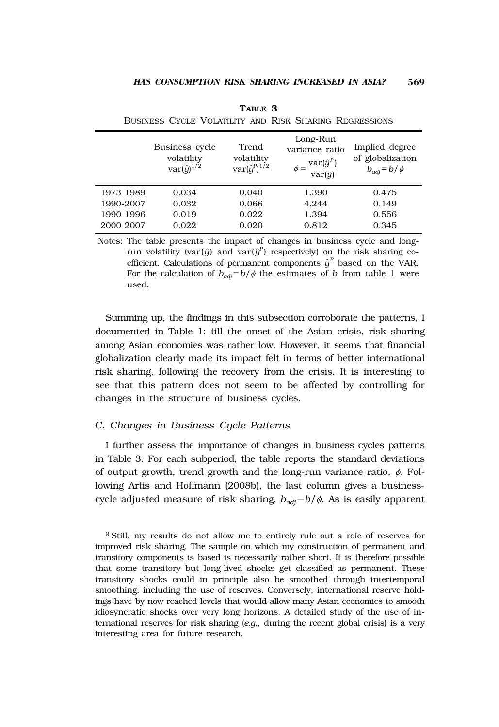|           | Business cycle<br>volatility<br>$var(\hat{y})^{1/2}$ | Trend<br>volatility<br>$var(\hat{y}^P)^{1/2}$ | Long-Run<br>variance ratio<br>$\phi = \frac{\mathrm{var}(\hat{y}^P)}{\mathrm{var}(\hat{y})}$ | Implied degree<br>of globalization<br>$b_{adi} = b/\phi$ |
|-----------|------------------------------------------------------|-----------------------------------------------|----------------------------------------------------------------------------------------------|----------------------------------------------------------|
| 1973-1989 | 0.034                                                | 0.040                                         | 1.390                                                                                        | 0.475                                                    |
| 1990-2007 | 0.032                                                | 0.066                                         | 4.244                                                                                        | 0.149                                                    |
| 1990-1996 | 0.019                                                | 0.022                                         | 1.394                                                                                        | 0.556                                                    |
| 2000-2007 | 0.022                                                | 0.020                                         | 0.812                                                                                        | 0.345                                                    |

**TABLE 3** BUSINESS CYCLE VOLATILITY AND RISK SHARING REGRESSIONS

Notes: The table presents the impact of changes in business cycle and longrun volatility (var( $\hat{y}$ ) and var( $\hat{y}^P$ ) respectively) on the risk sharing coefficient. Calculations of permanent components  $\hat{y}^P$  based on the VAR. For the calculation of  $b_{\text{adj}}=b/\phi$  the estimates of *b* from table 1 were used.

Summing up, the findings in this subsection corroborate the patterns, I documented in Table 1: till the onset of the Asian crisis, risk sharing among Asian economies was rather low. However, it seems that financial globalization clearly made its impact felt in terms of better international risk sharing, following the recovery from the crisis. It is interesting to see that this pattern does not seem to be affected by controlling for changes in the structure of business cycles.

#### *C. Changes in Business Cycle Patterns*

I further assess the importance of changes in business cycles patterns in Table 3. For each subperiod, the table reports the standard deviations of output growth, trend growth and the long-run variance ratio,  $\phi$ . Following Artis and Hoffmann (2008b), the last column gives a businesscycle adjusted measure of risk sharing,  $b_{\text{adj}}=b/\phi$ . As is easily apparent

<sup>9</sup> Still, my results do not allow me to entirely rule out a role of reserves for improved risk sharing. The sample on which my construction of permanent and transitory components is based is necessarily rather short. It is therefore possible that some transitory but long-lived shocks get classified as permanent. These transitory shocks could in principle also be smoothed through intertemporal smoothing, including the use of reserves. Conversely, international reserve holdings have by now reached levels that would allow many Asian economies to smooth idiosyncratic shocks over very long horizons. A detailed study of the use of international reserves for risk sharing (*e.g.*, during the recent global crisis) is a very interesting area for future research.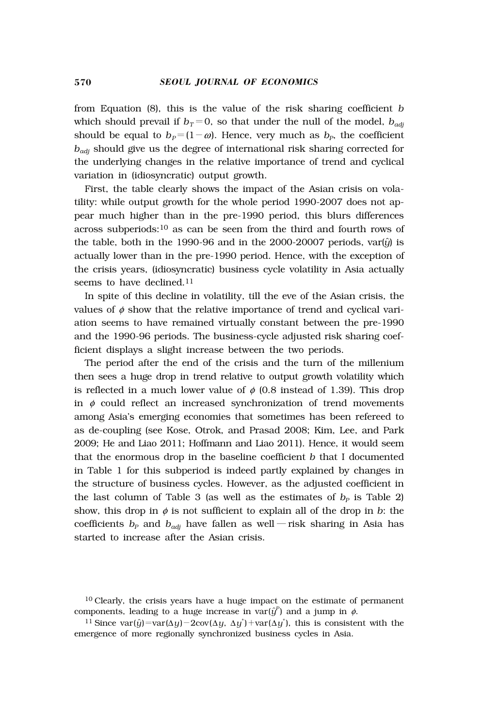from Equation (8), this is the value of the risk sharing coefficient *b* which should prevail if  $b_T=0$ , so that under the null of the model,  $b_{qdi}$ should be equal to  $b_P = (1 - \omega)$ . Hence, very much as  $b_P$ , the coefficient *badj* should give us the degree of international risk sharing corrected for the underlying changes in the relative importance of trend and cyclical variation in (idiosyncratic) output growth.

First, the table clearly shows the impact of the Asian crisis on volatility: while output growth for the whole period 1990-2007 does not appear much higher than in the pre-1990 period, this blurs differences across subperiods:10 as can be seen from the third and fourth rows of the table, both in the 1990-96 and in the 2000-20007 periods,  $var(j)$  is actually lower than in the pre-1990 period. Hence, with the exception of the crisis years, (idiosyncratic) business cycle volatility in Asia actually seems to have declined.<sup>11</sup>

In spite of this decline in volatility, till the eve of the Asian crisis, the values of  $\phi$  show that the relative importance of trend and cyclical variation seems to have remained virtually constant between the pre-1990 and the 1990-96 periods. The business-cycle adjusted risk sharing coefficient displays a slight increase between the two periods.

The period after the end of the crisis and the turn of the millenium then sees a huge drop in trend relative to output growth volatility which is reflected in a much lower value of  $\phi$  (0.8 instead of 1.39). This drop in  $\phi$  could reflect an increased synchronization of trend movements among Asia's emerging economies that sometimes has been refereed to as de-coupling (see Kose, Otrok, and Prasad 2008; Kim, Lee, and Park 2009; He and Liao 2011; Hoffmann and Liao 2011). Hence, it would seem that the enormous drop in the baseline coefficient *b* that I documented in Table 1 for this subperiod is indeed partly explained by changes in the structure of business cycles. However, as the adjusted coefficient in the last column of Table 3 (as well as the estimates of  $b_p$  is Table 2) show, this drop in  $\phi$  is not sufficient to explain all of the drop in *b*: the coefficients  $b_p$  and  $b_{adj}$  have fallen as well — risk sharing in Asia has started to increase after the Asian crisis.

<sup>10</sup> Clearly, the crisis years have a huge impact on the estimate of permanent components, leading to a huge increase in  $\text{var}(\hat{y}^p)$  and a jump in  $\phi$ .

<sup>&</sup>lt;sup>11</sup> Since var( $\hat{y}$ )=var( $\Delta y$ )-2cov( $\Delta y$ ,  $\Delta y^*$ )+var( $\Delta y^*$ ), this is consistent with the emergence of more regionally synchronized business cycles in Asia.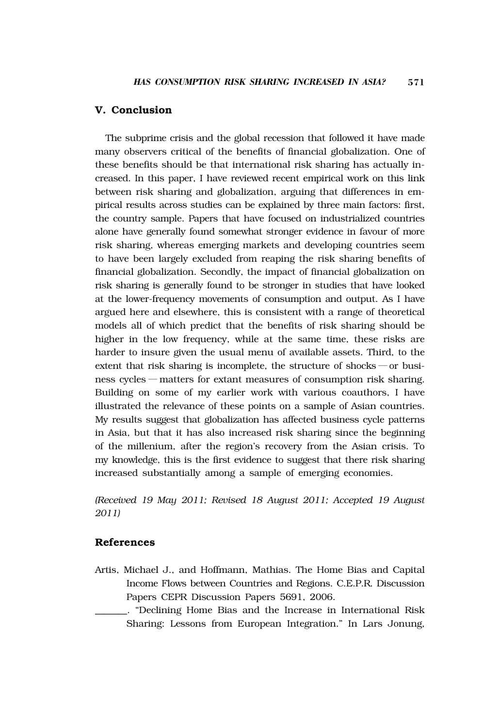#### **V. Conclusion**

The subprime crisis and the global recession that followed it have made many observers critical of the benefits of financial globalization. One of these benefits should be that international risk sharing has actually increased. In this paper, I have reviewed recent empirical work on this link between risk sharing and globalization, arguing that differences in empirical results across studies can be explained by three main factors: first, the country sample. Papers that have focused on industrialized countries alone have generally found somewhat stronger evidence in favour of more risk sharing, whereas emerging markets and developing countries seem to have been largely excluded from reaping the risk sharing benefits of financial globalization. Secondly, the impact of financial globalization on risk sharing is generally found to be stronger in studies that have looked at the lower-frequency movements of consumption and output. As I have argued here and elsewhere, this is consistent with a range of theoretical models all of which predict that the benefits of risk sharing should be higher in the low frequency, while at the same time, these risks are harder to insure given the usual menu of available assets. Third, to the extent that risk sharing is incomplete, the structure of shocks — or business cycles ― matters for extant measures of consumption risk sharing. Building on some of my earlier work with various coauthors, I have illustrated the relevance of these points on a sample of Asian countries. My results suggest that globalization has affected business cycle patterns in Asia, but that it has also increased risk sharing since the beginning of the millenium, after the region's recovery from the Asian crisis. To my knowledge, this is the first evidence to suggest that there risk sharing increased substantially among a sample of emerging economies.

*(Received 19 May 2011; Revised 18 August 2011; Accepted 19 August 2011)*

# **References**

- Artis, Michael J., and Hoffmann, Mathias. The Home Bias and Capital Income Flows between Countries and Regions. C.E.P.R. Discussion Papers CEPR Discussion Papers 5691, 2006.
- \_\_\_\_\_\_\_. "Declining Home Bias and the Increase in International Risk Sharing: Lessons from European Integration." In Lars Jonung,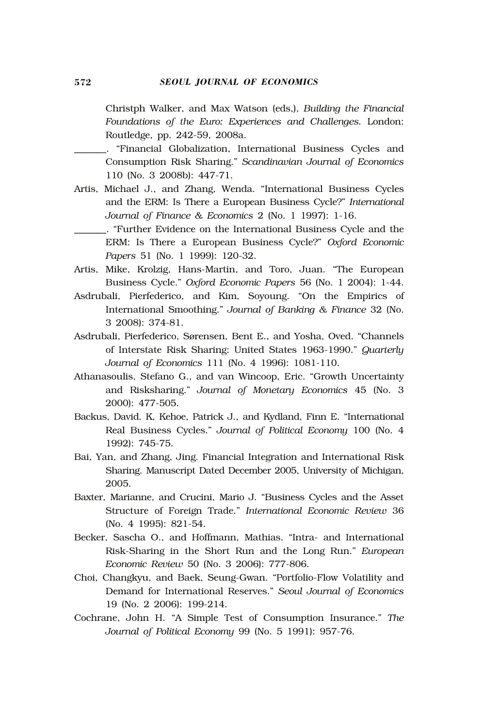Christph Walker, and Max Watson (eds,), *Building the Financial Foundations of the Euro: Experiences and Challenges.* London: Routledge, pp. 242-59, 2008a.

\_\_\_\_\_\_\_. "Financial Globalization, International Business Cycles and Consumption Risk Sharing." *Scandinavian Journal of Economics* 110 (No. 3 2008b): 447-71.

- Artis, Michael J., and Zhang, Wenda. "International Business Cycles and the ERM: Is There a European Business Cycle?" *International Journal of Finance & Economics* 2 (No. 1 1997): 1-16.
	- \_\_\_\_\_\_\_. "Further Evidence on the International Business Cycle and the ERM: Is There a European Business Cycle?" *Oxford Economic Papers* 51 (No. 1 1999): 120-32.
- Artis, Mike, Krolzig, Hans-Martin, and Toro, Juan. "The European Business Cycle." *Oxford Economic Papers* 56 (No. 1 2004): 1-44.
- Asdrubali, Pierfederico, and Kim, Soyoung. "On the Empirics of International Smoothing." *Journal of Banking & Finance* 32 (No. 3 2008): 374-81.
- Asdrubali, Pierfederico, Sørensen, Bent E., and Yosha, Oved. "Channels of Interstate Risk Sharing: United States 1963-1990." *Quarterly Journal of Economics* 111 (No. 4 1996): 1081-110.
- Athanasoulis, Stefano G., and van Wincoop, Eric. "Growth Uncertainty and Risksharing." *Journal of Monetary Economics* 45 (No. 3 2000): 477-505.
- Backus, David. K, Kehoe, Patrick J., and Kydland, Finn E. "International Real Business Cycles." *Journal of Political Economy* 100 (No. 4 1992): 745-75.
- Bai, Yan, and Zhang, Jing. Financial Integration and International Risk Sharing. Manuscript Dated December 2005, University of Michigan, 2005.
- Baxter, Marianne, and Crucini, Mario J. "Business Cycles and the Asset Structure of Foreign Trade." *International Economic Review* 36 (No. 4 1995): 821-54.
- Becker, Sascha O., and Hoffmann, Mathias. "Intra- and International Risk-Sharing in the Short Run and the Long Run." *European Economic Review* 50 (No. 3 2006): 777-806.
- Choi, Changkyu, and Baek, Seung-Gwan. "Portfolio-Flow Volatility and Demand for International Reserves." *Seoul Journal of Economics* 19 (No. 2 2006): 199-214.
- Cochrane, John H. "A Simple Test of Consumption Insurance." *The Journal of Political Economy* 99 (No. 5 1991): 957-76.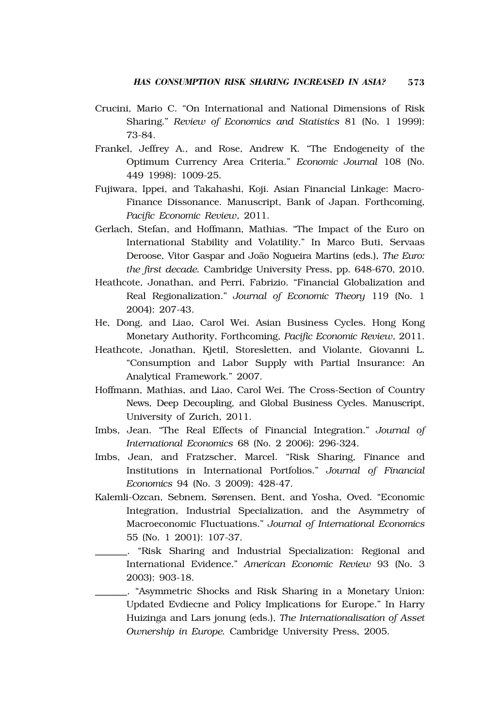- Crucini, Mario C. "On International and National Dimensions of Risk Sharing." *Review of Economics and Statistics* 81 (No. 1 1999): 73-84.
- Frankel, Jeffrey A., and Rose, Andrew K. "The Endogeneity of the Optimum Currency Area Criteria." *Economic Journal* 108 (No. 449 1998): 1009-25.
- Fujiwara, Ippei, and Takahashi, Koji. Asian Financial Linkage: Macro-Finance Dissonance. Manuscript, Bank of Japan. Forthcoming, *Pacific Economic Review*, 2011.
- Gerlach, Stefan, and Hoffmann, Mathias. "The Impact of the Euro on International Stability and Volatility." In Marco Buti, Servaas Deroose, Vitor Gaspar and João Nogueira Martins (eds.), *The Euro: the first decade.* Cambridge University Press, pp. 648-670, 2010.
- Heathcote, Jonathan, and Perri, Fabrizio. "Financial Globalization and Real Regionalization." *Journal of Economic Theory* 119 (No. 1 2004): 207-43.
- He, Dong, and Liao, Carol Wei. Asian Business Cycles. Hong Kong Monetary Authority, Forthcoming, *Pacific Economic Review*, 2011.
- Heathcote, Jonathan, Kjetil, Storesletten, and Violante, Giovanni L. "Consumption and Labor Supply with Partial Insurance: An Analytical Framework." 2007.
- Hoffmann, Mathias, and Liao, Carol Wei. The Cross-Section of Country News, Deep Decoupling, and Global Business Cycles. Manuscript, University of Zurich, 2011.
- Imbs, Jean. "The Real Effects of Financial Integration." *Journal of International Economics* 68 (No. 2 2006): 296-324.
- Imbs, Jean, and Fratzscher, Marcel. "Risk Sharing, Finance and Institutions in International Portfolios." *Journal of Financial Economics* 94 (No. 3 2009): 428-47.
- Kalemli-Ozcan, Sebnem, Sørensen, Bent, and Yosha, Oved. "Economic Integration, Industrial Specialization, and the Asymmetry of Macroeconomic Fluctuations." *Journal of International Economics* 55 (No. 1 2001): 107-37.
	- \_\_\_\_\_\_\_. "Risk Sharing and Industrial Specialization: Regional and International Evidence." *American Economic Review* 93 (No. 3 2003): 903-18.
- \_\_\_\_\_\_\_. "Asymmetric Shocks and Risk Sharing in a Monetary Union: Updated Evdiecne and Policy Implications for Europe." In Harry Huizinga and Lars jonung (eds.), *The Internationalisation of Asset Ownership in Europe.* Cambridge University Press, 2005.